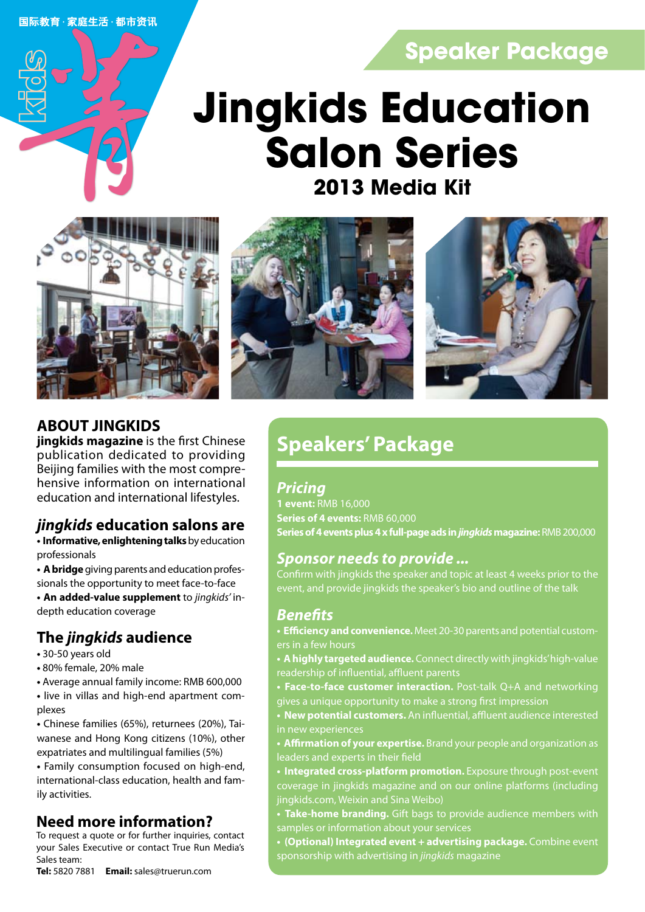国际教育·家庭生活·都市资讯

## **Speaker Package**

## **2013 Media Kit Jingkids Education Salon Series**







## **ABOUT JINGKIDS**

**jingkids magazine** is the first Chinese publication dedicated to providing Beijing families with the most comprehensive information on international education and international lifestyles.

## *jingkids* **education salons are**

**• Informative, enlightening talks** by education professionals

**• A bridge** giving parents and education professionals the opportunity to meet face-to-face

**• An added-value supplement** to *jingkids'* indepth education coverage

## **The** *jingkids* **audience**

- 30-50 years old
- 80% female, 20% male
- Average annual family income: RMB 600,000
- live in villas and high-end apartment complexes

**•** Chinese families (65%), returnees (20%), Taiwanese and Hong Kong citizens (10%), other expatriates and multilingual families (5%)

**•** Family consumption focused on high-end, international-class education, health and family activities.

## **Need more information?**

To request a quote or for further inquiries, contact your Sales Executive or contact True Run Media's .<br>Sales team:

**Tel:** 5820 7881 **Email:** sales@truerun.com

## **Speakers' Package**

## *Pricing*

**1 event:** RMB 16,000 **Series of 4 events:** RMB 60,000 **Series of 4 events plus 4 x full-page ads in** *jingkids* **magazine:** RMB 200,000

## *Sponsor needs to provide ...*

Confirm with jingkids the speaker and topic at least 4 weeks prior to the event, and provide jingkids the speaker's bio and outline of the talk

## *Benefits*

- **Efficiency and convenience.** Meet 20-30 parents and potential custom-
- **A highly targeted audience.** Connect directly with jingkids' high-value readership of influential, affluent parents
- **Face-to-face customer interaction.** Post-talk Q+A and networking gives a unique opportunity to make a strong first impression
- **New potential customers.** An influential, affluent audience interested in new experiences

**• Affirmation of your expertise.** Brand your people and organization as leaders and experts in their field

- **Integrated cross-platform promotion.** Exposure through post-event coverage in jingkids magazine and on our online platforms (including jingkids.com, Weixin and Sina Weibo)
- **Take-home branding.** Gift bags to provide audience members with samples or information about your services
- **(Optional) Integrated event + advertising package.** Combine event sponsorship with advertising in *jingkids* magazine